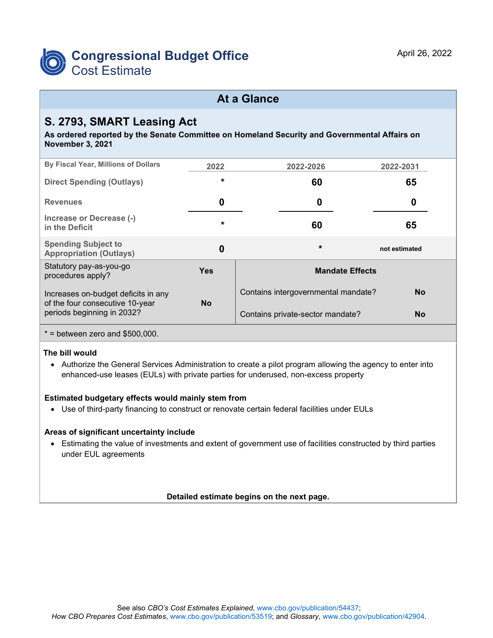

# **At a Glance**

# **S. 2793, SMART Leasing Act**

**As ordered reported by the Senate Committee on Homeland Security and Governmental Affairs on November 3, 2021**

| By Fiscal Year, Millions of Dollars                                                                            | 2022      | 2022-2026                           | 2022-2031     |
|----------------------------------------------------------------------------------------------------------------|-----------|-------------------------------------|---------------|
| <b>Direct Spending (Outlays)</b>                                                                               | $\star$   | 60                                  | 65            |
| <b>Revenues</b>                                                                                                | 0         | 0                                   | 0             |
| Increase or Decrease (-)<br>in the Deficit                                                                     | $\star$   | 60                                  | 65            |
| <b>Spending Subject to</b><br><b>Appropriation (Outlays)</b>                                                   | 0         | $\star$                             | not estimated |
| Statutory pay-as-you-go<br>procedures apply?                                                                   | Yes       | <b>Mandate Effects</b>              |               |
| Increases on-budget deficits in any<br>of the four consecutive 10-year<br>periods beginning in 2032?           | <b>No</b> | Contains intergovernmental mandate? | <b>No</b>     |
|                                                                                                                |           | Contains private-sector mandate?    | <b>No</b>     |
| $\mathbf{a}$ and $\mathbf{a}$ and $\mathbf{a}$<br>$\mathbf{A} = \mathbf{A} \mathbf{A} + \mathbf{A} \mathbf{A}$ |           |                                     |               |

 $*$  = between zero and \$500,000.

### **The bill would**

• Authorize the General Services Administration to create a pilot program allowing the agency to enter into enhanced-use leases (EULs) with private parties for underused, non-excess property

### **Estimated budgetary effects would mainly stem from**

• Use of third-party financing to construct or renovate certain federal facilities under EULs

### **Areas of significant uncertainty include**

• Estimating the value of investments and extent of government use of facilities constructed by third parties under EUL agreements

### **Detailed estimate begins on the next page.**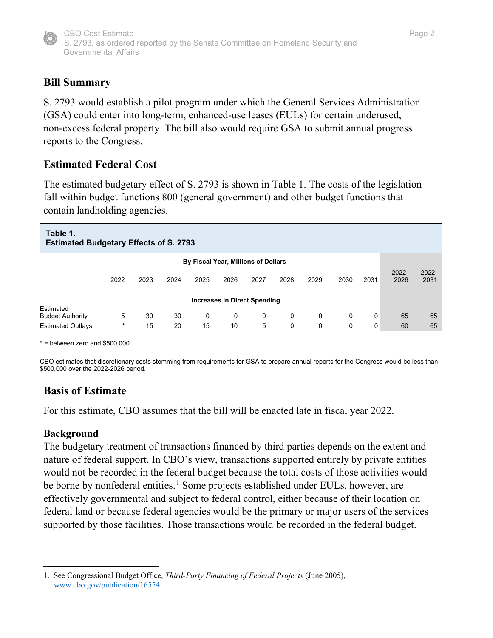

# **Bill Summary**

S. 2793 would establish a pilot program under which the General Services Administration (GSA) could enter into long-term, enhanced-use leases (EULs) for certain underused, non-excess federal property. The bill also would require GSA to submit annual progress reports to the Congress.

# **Estimated Federal Cost**

The estimated budgetary effect of S. 2793 is shown in Table 1. The costs of the legislation fall within budget functions 800 (general government) and other budget functions that contain landholding agencies.

#### **Table 1. Estimated Budgetary Effects of S. 2793 By Fiscal Year, Millions of Dollars** 2022 2023 2024 2025 2026 2027 2028 2029 2030 2031 2022- 2026 2022- 2031 **Increases in Direct Spending** Estimated Budget Authority 5 30 30 0 0 0 0 0 0 0 65 65 Estimated Outlays \* 15 20 15 10 5 0 0 0 0 60 65

 $*$  = between zero and \$500,000.

CBO estimates that discretionary costs stemming from requirements for GSA to prepare annual reports for the Congress would be less than \$500,000 over the 2022-2026 period.

## **Basis of Estimate**

For this estimate, CBO assumes that the bill will be enacted late in fiscal year 2022.

### **Background**

The budgetary treatment of transactions financed by third parties depends on the extent and nature of federal support. In CBO's view, transactions supported entirely by private entities would not be recorded in the federal budget because the total costs of those activities would be borne by nonfederal entities.<sup>[1](#page-1-0)</sup> Some projects established under EULs, however, are effectively governmental and subject to federal control, either because of their location on federal land or because federal agencies would be the primary or major users of the services supported by those facilities. Those transactions would be recorded in the federal budget.

<span id="page-1-0"></span><sup>1.</sup> See Congressional Budget Office, *Third-Party Financing of Federal Projects* (June 2005), [www.cbo.gov/publication/16554.](https://www.cbo.gov/publication/16554)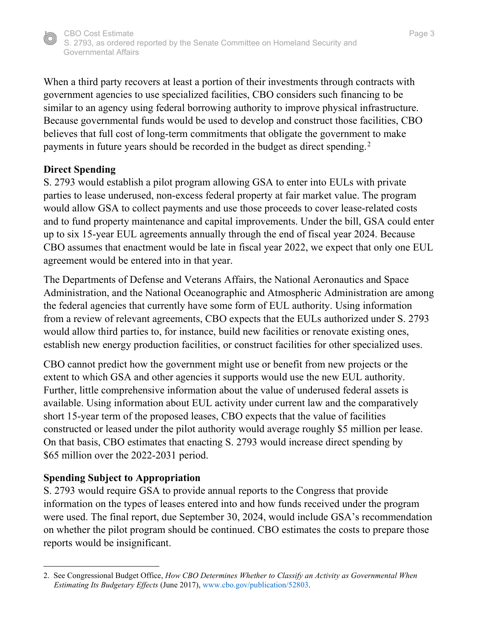

When a third party recovers at least a portion of their investments through contracts with government agencies to use specialized facilities, CBO considers such financing to be similar to an agency using federal borrowing authority to improve physical infrastructure. Because governmental funds would be used to develop and construct those facilities, CBO believes that full cost of long-term commitments that obligate the government to make payments in future years should be recorded in the budget as direct spending.<sup>[2](#page-2-0)</sup>

### **Direct Spending**

S. 2793 would establish a pilot program allowing GSA to enter into EULs with private parties to lease underused, non-excess federal property at fair market value. The program would allow GSA to collect payments and use those proceeds to cover lease-related costs and to fund property maintenance and capital improvements. Under the bill, GSA could enter up to six 15-year EUL agreements annually through the end of fiscal year 2024. Because CBO assumes that enactment would be late in fiscal year 2022, we expect that only one EUL agreement would be entered into in that year.

The Departments of Defense and Veterans Affairs, the National Aeronautics and Space Administration, and the National Oceanographic and Atmospheric Administration are among the federal agencies that currently have some form of EUL authority. Using information from a review of relevant agreements, CBO expects that the EULs authorized under S. 2793 would allow third parties to, for instance, build new facilities or renovate existing ones, establish new energy production facilities, or construct facilities for other specialized uses.

CBO cannot predict how the government might use or benefit from new projects or the extent to which GSA and other agencies it supports would use the new EUL authority. Further, little comprehensive information about the value of underused federal assets is available. Using information about EUL activity under current law and the comparatively short 15-year term of the proposed leases, CBO expects that the value of facilities constructed or leased under the pilot authority would average roughly \$5 million per lease. On that basis, CBO estimates that enacting S. 2793 would increase direct spending by \$65 million over the 2022-2031 period.

## **Spending Subject to Appropriation**

S. 2793 would require GSA to provide annual reports to the Congress that provide information on the types of leases entered into and how funds received under the program were used. The final report, due September 30, 2024, would include GSA's recommendation on whether the pilot program should be continued. CBO estimates the costs to prepare those reports would be insignificant.

<span id="page-2-0"></span><sup>2.</sup> See Congressional Budget Office, *How CBO Determines Whether to Classify an Activity as Governmental When Estimating Its Budgetary Effects* (June 2017)[, www.cbo.gov/publication/52803.](https://www.cbo.gov/publication/52803)